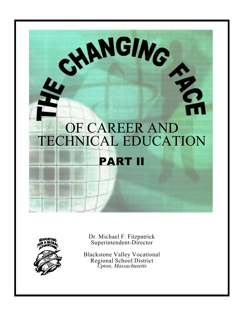



Dr. Michael F. Fitzpatrick Superintendent-Director

Blackstone Valley Vocational Regional School District *Upton, Massachusetts*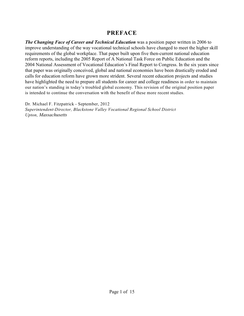# **PREFACE**

*The Changing Face of Career and Technical Education* was a position paper written in 2006 to improve understanding of the way vocational technical schools have changed to meet the higher skill requirements of the global workplace. That paper built upon five then-current national education reform reports, including the 2005 Report of A National Task Force on Public Education and the 2004 National Assessment of Vocational Education's Final Report to Congress. In the six years since that paper was originally conceived, global and national economies have been drastically eroded and calls for education reform have grown more strident. Several recent education projects and studies have highlighted the need to prepare all students for career and college readiness in order to maintain our nation's standing in today's troubled global economy. This revision of the original position paper is intended to continue the conversation with the benefit of these more recent studies.

Dr. Michael F. Fitzpatrick - September, 2012 *Superintendent-Director, Blackstone Valley Vocational Regional School District Upton, Massachusetts*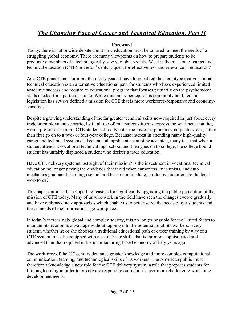### **Foreword**

Today, there is nationwide debate about how education must be tailored to meet the needs of a struggling global economy. There are many viewpoints on how to prepare students to be productive members of a technologically-savvy, global society. What is the mission of career and technical education (CTE) in the  $21<sup>st</sup>$  century quest for effectiveness and relevance in education?

As a CTE practitioner for more than forty years, I have long battled the stereotype that vocational technical education is an alternative educational path for students who have experienced limited academic success and require an educational program that focuses primarily on the psychomotor skills needed for a particular trade. While this faulty perception is commonly held, federal legislation has always defined a mission for CTE that is more workforce-responsive and economysensitive.

Despite a growing understanding of the far greater technical skills now required in just about every trade or employment scenario, I still all too often hear constituents express the sentiment that they would prefer to see more CTE students directly enter the trades as plumbers, carpenters, etc., rather than first go on to a two- or four-year college. Because interest in attending many high-quality career and technical systems is keen and all applicants cannot be accepted, many feel that when a student attends a vocational technical high school and then goes on to college, the college bound student has unfairly displaced a student who desires a trade education.

Have CTE delivery systems lost sight of their mission? Is the investment in vocational technical education no longer paying the dividends that it did when carpenters, machinists, and auto mechanics graduated from high school and became immediate, productive additions to the local workforce?

This paper outlines the compelling reasons for significantly upgrading the public perception of the mission of CTE today. Many of us who work in the field have seen the changes evolve gradually and have embraced new approaches which enable us to better serve the needs of our students and the demands of the information-age workplace.

In today's increasingly global and complex society, it is no longer possible for the United States to maintain its economic advantage without tapping into the potential of all its workers. Every student, whether he or she chooses a traditional educational path or career training by way of a CTE system, must be equipped with a set of basic skills that is far more sophisticated and advanced than that required in the manufacturing-based economy of fifty years ago.

The workforce of the  $21<sup>st</sup>$  century demands greater knowledge and more complex computational, communication, teaming, and technological skills of its workers. The American public must therefore acknowledge a new role for the CTE delivery system: a role that prepares students for lifelong learning in order to effectively respond to our nation's ever more challenging workforce development needs.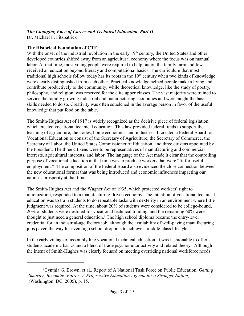Dr. Michael F. Fitzpatrick

### **The Historical Foundation of CTE**

With the onset of the industrial revolution in the early 19<sup>th</sup> century, the United States and other developed countries shifted away from an agricultural economy where the focus was on manual labor. At that time, most young people were required to help out on the family farm and few received an education beyond literacy and computational basics. The curriculum that most traditional high schools follow today has its roots in the 19<sup>th</sup> century when two kinds of knowledge were clearly distinguished from each other. Practical knowledge helped people make a living and contribute productively to the community; while theoretical knowledge, like the study of poetry, philosophy, and religion, was reserved for the elite upper classes. The vast majority were trained to service the rapidly growing industrial and manufacturing economies and were taught the basic skills needed to do so. Creativity was often squelched in the average person in favor of the useful knowledge that put food on the table.

The Smith-Hughes Act of 1917 is widely recognized as the decisive piece of federal legislation which created vocational technical education. This law provided federal funds to support the teaching of agriculture, the trades, home economics, and industries. It created a Federal Board for Vocational Education to consist of the Secretary of Agriculture, the Secretary of Commerce, the Secretary of Labor, the United States Commissioner of Education, and three citizens appointed by the President. The three citizens were to be representatives of manufacturing and commercial interests, agricultural interests, and labor. The language of the Act made it clear that the controlling purpose of vocational education at that time was to produce workers that were "fit for useful employment." The composition of the Federal Board also evidenced the close connection between the new educational format that was being introduced and economic influences impacting our nation's prosperity at that time.

The Smith-Hughes Act and the Wagner Act of 1935, which protected workers' right to unionization, responded to a manufacturing-driven economy. The intention of vocational technical education was to train students to do repeatable tasks with dexterity in an environment where little judgment was required. At the time, about 20% of students were considered to be college-bound, 20% of students were destined for vocational technical training, and the remaining 60% were thought to just need a general education.<sup>1</sup> The high school diploma became the entry-level credential for an industrial-age factory job, although the availability of well-paying manufacturing jobs paved the way for even high school dropouts to achieve a middle-class lifestyle.

In the early vintage of assembly line vocational technical education, it was fashionable to offer students academic basics and a blend of trade psychomotor activity and related theory. Although the intent of Smith-Hughes was clearly focused on meeting overriding national workforce needs

<sup>&</sup>lt;sup>1</sup> Cynthia G. Brown, et al., Report of A National Task Force on Public Education, *Getting Smarter, Becoming Fairer: A Progressive Education Agenda for a Stronger Nation*, (Washington, DC, 2005), p. 15.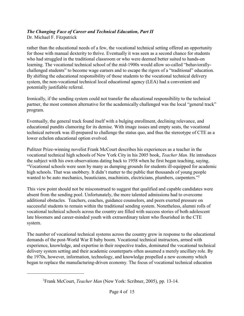Dr. Michael F. Fitzpatrick

rather than the educational needs of a few, the vocational technical setting offered an opportunity for those with manual dexterity to thrive. Eventually it was seen as a second chance for students who had struggled in the traditional classroom or who were deemed better suited to hands-on learning. The vocational technical school of the mid-1900s would allow so-called "behaviorallychallenged students" to become wage earners and to escape the rigors of a "traditional" education. By shifting the educational responsibility of those students to the vocational technical delivery system, the non-vocational technical local educational agency (LEA) had a convenient and potentially justifiable referral.

Ironically, if the sending system could not transfer the educational responsibility to the technical partner, the most common alternative for the academically challenged was the local "general track" program.

Eventually, the general track found itself with a bulging enrollment, declining relevance, and educational pundits clamoring for its demise. With image issues and empty seats, the vocational technical network was ill-prepared to challenge the status quo, and thus the stereotype of CTE as a lower echelon educational option evolved.

Pulitzer Prize-winning novelist Frank McCourt describes his experiences as a teacher in the vocational technical high schools of New York City in his 2005 book, *Teacher Man*. He introduces the subject with his own observations dating back to 1958 when he first began teaching, saying, "Vocational schools were seen by many as dumping grounds for students ill-equipped for academic high schools. That was snobbery. It didn't matter to the public that thousands of young people wanted to be auto mechanics, beauticians, machinists, electricians, plumbers, carpenters."<sup>2</sup>

This view point should not be misconstrued to suggest that qualified and capable candidates were absent from the sending pool. Unfortunately, the more talented admissions had to overcome additional obstacles. Teachers, coaches, guidance counselors, and peers exerted pressure on successful students to remain within the traditional sending system. Nonetheless, alumni rolls of vocational technical schools across the country are filled with success stories of both adolescent late bloomers and career-minded youth with extraordinary talent who flourished in the CTE system.

The number of vocational technical systems across the country grew in response to the educational demands of the post-World War II baby boom. Vocational technical instructors, armed with experience, knowledge, and expertise in their respective trades, dominated the vocational technical delivery system setting and their academic counterparts often assumed a merely ancillary role. By the 1970s, however, information, technology, and knowledge propelled a new economy which began to replace the manufacturing-driven economy. The focus of vocational technical education

<sup>&</sup>lt;sup>2</sup> Frank McCourt, *Teacher Man* (New York: Scribner, 2005), pp. 13-14.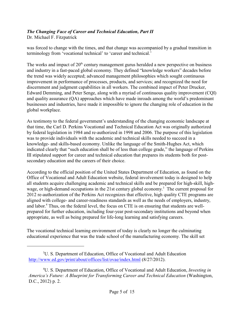Dr. Michael F. Fitzpatrick

was forced to change with the times, and that change was accompanied by a gradual transition in terminology from 'vocational technical' to 'career and technical.'

The works and impact of  $20<sup>th</sup>$  century management gurus heralded a new perspective on business and industry in a fast-paced global economy. They defined "knowledge workers" decades before the trend was widely accepted; advanced management philosophies which sought continuous improvement in performance of processes, products, and services; and recognized the need for discernment and judgment capabilities in all workers. The combined impact of Peter Drucker, Edward Demming, and Peter Senge, along with a myriad of continuous quality improvement (CQI) and quality assurance (QA) approaches which have made inroads among the world's predominant businesses and industries, have made it impossible to ignore the changing role of education in the global workplace.

As testimony to the federal government's understanding of the changing economic landscape at that time, the Carl D. Perkins Vocational and Technical Education Act was originally authorized by federal legislation in 1984 and re-authorized in 1998 and 2006. The purpose of this legislation was to provide individuals with the academic and technical skills needed to succeed in a knowledge- and skills-based economy. Unlike the language of the Smith-Hughes Act, which indicated clearly that "such education shall be of less than college grade," the language of Perkins III stipulated support for career and technical education that prepares its students both for postsecondary education and the careers of their choice.

According to the official position of the United States Department of Education, as found on the Office of Vocational and Adult Education website, federal involvement today is designed to help all students acquire challenging academic and technical skills and be prepared for high-skill, highwage, or high-demand occupations in the 21st century global economy.<sup>3</sup> The current proposal for 2012 re-authorization of the Perkins Act recognizes that effective, high quality CTE programs are aligned with college- and career-readiness standards as well as the needs of employers, industry, and labor.<sup>4</sup> Thus, on the federal level, the focus on CTE is on ensuring that students are wellprepared for further education, including four-year post-secondary institutions and beyond when appropriate, as well as being prepared for life-long learning and satisfying careers.

The vocational technical learning environment of today is clearly no longer the culminating educational experience that was the trade school of the manufacturing economy. The skill set

<sup>&</sup>lt;sup>3</sup>U. S. Department of Education, Office of Vocational and Adult Education <http://www.ed.gov/print/about/offices/list/ovae/index.html> (8/27/2012).

U. S. Department of Education, Office of Vocational and Adult Education, *Investing in* <sup>4</sup> *America's Future: A Blueprint for Transforming Career and Technical Education* (Washington, D.C., 2012) p. 2.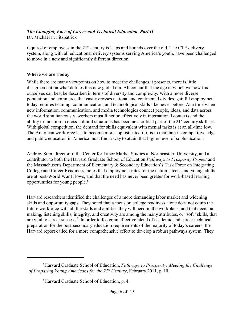Dr. Michael F. Fitzpatrick

required of employees in the  $21<sup>st</sup>$  century is leaps and bounds over the old. The CTE delivery system, along with all educational delivery systems serving America's youth, have been challenged to move in a new and significantly different direction.

### **Where we are Today**

While there are many viewpoints on how to meet the challenges it presents, there is little disagreement on what defines this new global era. All concur that the age in which we now find ourselves can best be described in terms of diversity and complexity. With a more diverse population and commerce that easily crosses national and continental divides, gainful employment today requires teaming, communication, and technological skills like never before. At a time when new information, communication, and media technologies connect people, ideas, and data across the world simultaneously, workers must function effectively in international contexts and the ability to function in cross-cultural situations has become a critical part of the  $21<sup>st</sup>$  century skill set. With global competition, the demand for skills equivalent with menial tasks is at an all-time low. The American workforce has to become more sophisticated if it is to maintain its competitive edge and public education in America must find a way to attain that higher level of sophistication.

Andrew Sum, director of the Center for Labor Market Studies at Northeastern University, and a contributor to both the Harvard Graduate School of Education *Pathways to Prosperity Project* and the Massachusetts Department of Elementary & Secondary Education's Task Force on Integrating College and Career Readiness, notes that employment rates for the nation's teens and young adults are at post-World War II lows, and that the need has never been greater for work-based learning opportunities for young people.<sup>5</sup>

Harvard researchers identified the challenges of a more demanding labor market and widening skills and opportunity gaps. They noted that a focus on college readiness alone does not equip the future workforce with all the skills and abilities they will need in the workplace, and that decision making, listening skills, integrity, and creativity are among the many attributes, or "soft" skills, that are vital to career success.<sup>6</sup> In order to foster an effective blend of academic and career technical preparation for the post-secondary education requirements of the majority of today's careers, the Harvard report called for a more comprehensive effort to develop a robust pathways system. They

<sup>&</sup>lt;sup>5</sup>Harvard Graduate School of Education, *Pathways to Prosperity: Meeting the Challenge* of Preparing Young Americans for the 21<sup>st</sup> Century, February 2011, p. III.

<sup>&</sup>lt;sup>6</sup> Harvard Graduate School of Education, p. 4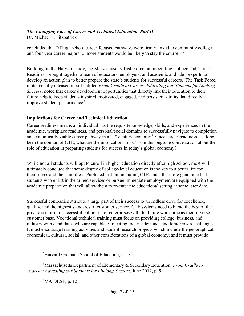Dr. Michael F. Fitzpatrick

concluded that "if high school career-focused pathways were firmly linked to community college and four-year career majors, ... more students would be likely to stay the course."<sup>7</sup>

Building on the Harvard study, the Massachusetts Task Force on Integrating College and Career Readiness brought together a team of educators, employers, and academic and labor experts to develop an action plan to better prepare the state's students for successful careers. The Task Force, in its recently released report entitled *From Cradle to Career: Educating our Students for Lifelong Success*, noted that career development opportunities that directly link their education to their future help to keep students inspired, motivated, engaged, and persistent - traits that directly improve student performance.<sup>8</sup>

### **Implications for Career and Technical Education**

Career readiness means an individual has the requisite knowledge, skills, and experiences in the academic, workplace readiness, and personal/social domains to successfully navigate to completion an economically viable career pathway in a  $21<sup>st</sup>$  century economy.<sup>9</sup> Since career readiness has long been the domain of CTE, what are the implications for CTE in this ongoing conversation about the role of education in preparing students for success in today's global economy?

While not all students will opt to enroll in higher education directly after high school, most will ultimately conclude that some degree of college-level education is the key to a better life for themselves and their families. Public education, including CTE, must therefore guarantee that students who enlist in the armed services or pursue immediate employment are equipped with the academic preparation that will allow them to re-enter the educational setting at some later date.

Successful companies attribute a large part of their success to an endless drive for excellence, quality, and the highest standards of customer service. CTE systems need to blend the best of the private sector into successful public sector enterprises with the future workforce as their diverse customer base. Vocational technical training must focus on providing college, business, and industry with candidates who are capable of meeting today's demands and tomorrow's challenges. It must encourage learning activities and student research projects which include the geographical, economical, cultural, social, and other considerations of a global economy; and it must provide

 $^9$ MA DESE, p. 12.

<sup>&</sup>lt;sup>7</sup>Harvard Graduate School of Education, p. 13.

Massachusetts Department of Elementary & Secondary Education, *From Cradle to* <sup>8</sup> *Career: Educating our Students for Lifelong Success*, June 2012, p. 9.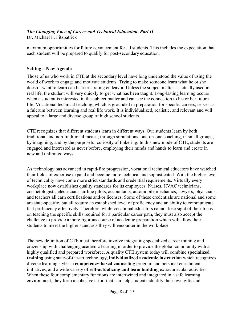Dr. Michael F. Fitzpatrick

maximum opportunities for future advancement for all students. This includes the expectation that each student will be prepared to qualify for post-secondary education.

### **Setting a New Agenda**

Those of us who work in CTE at the secondary level have long understood the value of using the world of work to engage and motivate students. Trying to make someone learn what he or she doesn't want to learn can be a frustrating endeavor. Unless the subject matter is actually used in real life, the student will very quickly forget what has been taught. Long-lasting learning occurs when a student is interested in the subject matter and can see the connection to his or her future life. Vocational technical teaching, which is grounded in preparation for specific careers, serves as a fulcrum between learning and real life work. It is individualized, realistic, and relevant and will appeal to a large and diverse group of high school students.

CTE recognizes that different students learn in different ways. Our students learn by both traditional and non-traditional means; through simulations, one-on-one coaching, in small groups, by imagining, and by the purposeful curiosity of tinkering. In this new mode of CTE, students are engaged and interested as never before, employing their minds and hands to learn and create in new and unlimited ways.

As technology has advanced in rapid-fire progression, vocational technical educators have watched their fields of expertise expand and become more technical and sophisticated. With the higher level of technicality have come more strict standards and credential requirements. Virtually every workplace now establishes quality standards for its employees. Nurses, HVAC technicians, cosmetologists, electricians, airline pilots, accountants, automobile mechanics, lawyers, physicians, and teachers all earn certifications and/or licenses. Some of these credentials are national and some are state-specific, but all require an established level of proficiency and an ability to communicate that proficiency effectively. Therefore, while vocational educators cannot lose sight of their focus on teaching the specific skills required for a particular career path, they must also accept the challenge to provide a more rigorous course of academic preparation which will allow their students to meet the higher standards they will encounter in the workplace.

The new definition of CTE must therefore involve integrating specialized career training and citizenship with challenging academic learning in order to provide the global community with a highly qualified and prepared workforce. A quality CTE system today will combine **specialized training** using state-of-the-art technology, **individualized academic instruction** which recognizes diverse learning styles, a **competency-based counseling** program and personal enrichment initiatives, and a wide variety of **self-actualizing and team building** extracurricular activities. When these four complementary functions are intertwined and integrated in a safe learning environment, they form a cohesive effort that can help students identify their own gifts and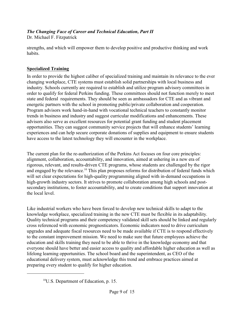Dr. Michael F. Fitzpatrick

strengths, and which will empower them to develop positive and productive thinking and work habits.

# **Specialized Training**

In order to provide the highest caliber of specialized training and maintain its relevance to the ever changing workplace, CTE systems must establish solid partnerships with local business and industry. Schools currently are required to establish and utilize program advisory committees in order to qualify for federal Perkins funding. These committees should not function merely to meet state and federal requirements. They should be seen as ambassadors for CTE and as vibrant and energetic partners with the school in promoting public/private collaboration and cooperation. Program advisors work hand-in-hand with vocational technical teachers to constantly monitor trends in business and industry and suggest curricular modifications and enhancements. These advisors also serve as excellent resources for potential grant funding and student placement opportunities. They can suggest community service projects that will enhance students' learning experiences and can help secure corporate donations of supplies and equipment to ensure students have access to the latest technology they will encounter in the workplace.

The current plan for the re-authorization of the Perkins Act focuses on four core principles: alignment, collaboration, accountability, and innovation, aimed at ushering in a new era of rigorous, relevant, and results-driven CTE programs, whose students are challenged by the rigor and engaged by the relevance.<sup>10</sup> This plan proposes reforms for distribution of federal funds which will set clear expectations for high-quality programming aligned with in-demand occupations in high-growth industry sectors. It strives to promote collaboration among high schools and postsecondary institutions, to foster accountability, and to create conditions that support innovation at the local level.

Like industrial workers who have been forced to develop new technical skills to adapt to the knowledge workplace, specialized training in the new CTE must be flexible in its adaptability. Quality technical programs and their competency validated skill sets should be linked and regularly cross referenced with economic prognosticators. Economic indicators need to drive curriculum upgrades and adequate fiscal resources need to be made available if CTE is to respond effectively to the constant improvement mission. We need to make sure that future employees achieve the education and skills training they need to be able to thrive in the knowledge economy and that everyone should have better and easier access to quality and affordable higher education as well as lifelong learning opportunities. The school board and the superintendent, as CEO of the educational delivery system, must acknowledge this trend and embrace practices aimed at preparing every student to qualify for higher education.

 $^{10}$ U.S. Department of Education, p. 15.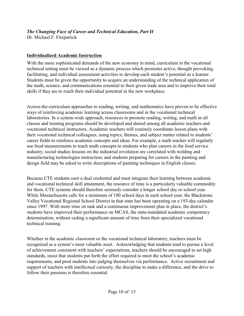Dr. Michael F. Fitzpatrick

# **Individualized Academic Instruction**

With the more sophisticated demands of the new economy in mind, curriculum in the vocational technical setting must be viewed as a dynamic process which promotes active, thought provoking, facilitating, and individual assessment activities to develop each student's potential as a learner. Students must be given the opportunity to acquire an understanding of the technical application of the math, science, and communications essential to their given trade area and to improve their total skills if they are to reach their individual potential in the new workplace.

Across-the-curriculum approaches to reading, writing, and mathematics have proven to be effective ways of reinforcing academic learning across classrooms and in the vocational technical laboratories. In a system-wide approach, resources to promote reading, writing, and math in all classes and training programs should be developed and shared among all academic teachers and vocational technical instructors. Academic teachers will routinely coordinate lesson plans with their vocational technical colleagues, using topics, themes, and subject matter related to students' career fields to reinforce academic concepts and ideas. For example, a math teacher will regularly use food measurements to teach math concepts to students who plan careers in the food service industry; social studies lessons on the industrial revolution are correlated with welding and manufacturing technologies instruction; and students preparing for careers in the painting and design field may be asked to write descriptions of painting techniques in English classes.

Because CTE students earn a dual credential and must integrate their learning between academic and vocational technical skill attainment, the resource of time is a particularly valuable commodity for them. CTE systems should therefore seriously consider a longer school day or school year. While Massachusetts calls for a minimum of 180 school days in each school year, the Blackstone Valley Vocational Regional School District in that state has been operating on a 193-day calendar since 1997. With more time on task and a continuous improvement plan in place, the district's students have improved their performance on MCAS, the state-mandated academic competency determination, without ceding a significant amount of time from their specialized vocational technical training.

Whether in the academic classroom or the vocational technical laboratory, teachers must be recognized as a system's most valuable asset. Acknowledging that students tend to pursue a level of achievement consistent with teachers' expectations, teachers should be encouraged to set high standards, insist that students put forth the effort required to meet the school's academic requirements, and prod students into judging themselves via performance. Active recruitment and support of teachers with intellectual curiosity, the discipline to make a difference, and the drive to follow their passions is therefore essential.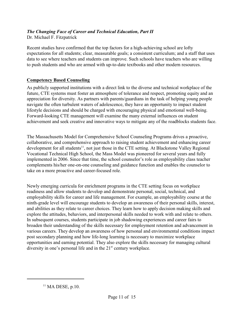Dr. Michael F. Fitzpatrick

Recent studies have confirmed that the top factors for a high-achieving school are lofty expectations for all students; clear, measurable goals; a consistent curriculum; and a staff that uses data to see where teachers and students can improve. Such schools have teachers who are willing to push students and who are armed with up-to-date textbooks and other modern resources.

### **Competency Based Counseling**

As publicly supported institutions with a direct link to the diverse and technical workplace of the future, CTE systems must foster an atmosphere of tolerance and respect, promoting equity and an appreciation for diversity. As partners with parents/guardians in the task of helping young people navigate the often turbulent waters of adolescence, they have an opportunity to impact student lifestyle decisions and should be charged with encouraging physical and emotional well-being. Forward-looking CTE management will examine the many external influences on student achievement and seek creative and innovative ways to mitigate any of the roadblocks students face.

The Massachusetts Model for Comprehensive School Counseling Programs drives a proactive, collaborative, and comprehensive approach to raising student achievement and enhancing career development for all students<sup>11</sup>, not just those in the CTE setting. At Blackstone Valley Regional Vocational Technical High School, the Mass Model was pioneered for several years and fully implemented in 2006. Since that time, the school counselor's role as employability class teacher complements his/her one-on-one counseling and guidance function and enables the counselor to take on a more proactive and career-focused role.

Newly emerging curricula for enrichment programs in the CTE setting focus on workplace readiness and allow students to develop and demonstrate personal, social, technical, and employability skills for career and life management. For example, an employability course at the ninth-grade level will encourage students to develop an awareness of their personal skills, interest, and abilities as they relate to career choices. They learn how to apply decision making skills and explore the attitudes, behaviors, and interpersonal skills needed to work with and relate to others. In subsequent courses, students participate in job shadowing experiences and career fairs to broaden their understanding of the skills necessary for employment retention and advancement in various careers. They develop an awareness of how personal and environmental conditions impact post secondary planning and how life-long learning is necessary to maximize workplace opportunities and earning potential. They also explore the skills necessary for managing cultural diversity in one's personal life and in the  $21<sup>st</sup>$  century workplace.

 $<sup>11</sup>$  MA DESE, p.10.</sup>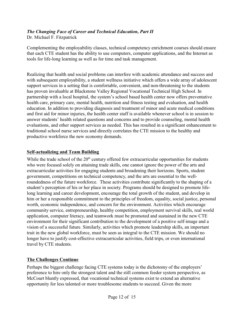Dr. Michael F. Fitzpatrick

Complementing the employability classes, technical competency enrichment courses should ensure that each CTE student has the ability to use computers, computer applications, and the Internet as tools for life-long learning as well as for time and task management.

Realizing that health and social problems can interfere with academic attendance and success and with subsequent employability, a student wellness initiative which offers a wide array of adolescent support services in a setting that is comfortable, convenient, and non-threatening to the students has proven invaluable at Blackstone Valley Regional Vocational Technical High School. In partnership with a local hospital, the system's school based health center now offers preventative health care, primary care, mental health, nutrition and fitness testing and evaluation, and health education. In addition to providing diagnosis and treatment of minor and acute medical conditions and first aid for minor injuries, the health center staff is available whenever school is in session to answer students' health related questions and concerns and to provide counseling, mental health evaluations, and other support services as needed. This has resulted in a significant enhancement to traditional school nurse services and directly correlates the CTE mission to the healthy and productive workforce the new economy demands.

### **Self-actualizing and Team Building**

While the trade school of the  $20<sup>th</sup>$  century offered few extracurricular opportunities for students who were focused solely on attaining trade skills, one cannot ignore the power of the arts and extracurricular activities for engaging students and broadening their horizons. Sports, student government, competitions on technical competency, and the arts are essential to the wellroundedness of the future workforce. These activities contribute significantly to the shaping of a student's perception of his or her place in society. Programs should be designed to promote lifelong learning and career development, encourage the total growth of the student, and develop in him or her a responsible commitment to the principles of freedom, equality, social justice, personal worth, economic independence, and concern for the environment. Activities which encourage community service, entrepreneurship, healthy competition, employment survival skills, real world application, computer literacy, and teamwork must be promoted and sustained in the new CTE environment for their significant contribution to the development of a positive self-image and a vision of a successful future. Similarly, activities which promote leadership skills, an important trait in the new global workforce, must be seen as integral to the CTE mission. We should no longer have to justify cost-effective extracurricular activities, field trips, or even international travel by CTE students.

## **The Challenges Continue**

Perhaps the biggest challenge facing CTE systems today is the dichotomy of the employers' preference to hire only the strongest talent and the still common feeder system perspective, as McCourt bluntly expressed, that vocational technical systems exist to extend an alternative opportunity for less talented or more troublesome students to succeed. Given the more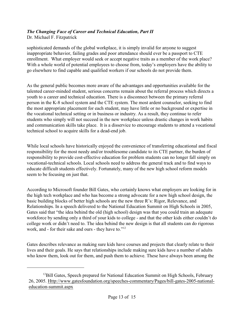Dr. Michael F. Fitzpatrick

sophisticated demands of the global workplace, it is simply invalid for anyone to suggest inappropriate behavior, failing grades and poor attendance should ever be a passport to CTE enrollment. What employer would seek or accept negative traits as a member of the work place? With a whole world of potential employees to choose from, today's employers have the ability to go elsewhere to find capable and qualified workers if our schools do not provide them.

As the general public becomes more aware of the advantages and opportunities available for the talented career-minded student, serious concerns remain about the referral process which directs a youth to a career and technical education. There is a disconnect between the primary referral person in the K-8 school system and the CTE system. The most ardent counselor, seeking to find the most appropriate placement for each student, may have little or no background or expertise in the vocational technical setting or in business or industry. As a result, they continue to refer students who simply will not succeed in the new workplace unless drastic changes in work habits and communication skills take place. It is a disservice to encourage students to attend a vocational technical school to acquire skills for a dead-end job.

While local schools have historically enjoyed the convenience of transferring educational and fiscal responsibility for the most needy and/or troublesome candidate to its CTE partner, the burden of responsibility to provide cost-effective education for problem students can no longer fall simply on vocational-technical schools. Local schools need to address the general track and to find ways to educate difficult students effectively. Fortunately, many of the new high school reform models seem to be focusing on just that.

According to Microsoft founder Bill Gates, who certainly knows what employers are looking for in the high tech workplace and who has become a strong advocate for a new high school design, the basic building blocks of better high schools are the new three R's: Rigor, Relevance, and Relationships. In a speech delivered to the National Education Summit on High Schools in 2005, Gates said that "the idea behind the old (high school) design was that you could train an adequate workforce by sending only a third of your kids to college - and that the other kids either couldn't do college work or didn't need to. The idea behind the new design is that all students can do rigorous work, and - for their sake and ours - they have to."<sup>12</sup>

Gates describes relevance as making sure kids have courses and projects that clearly relate to their lives and their goals. He says that relationships include making sure kids have a number of adults who know them, look out for them, and push them to achieve. These have always been among the

 $^{12}$ Bill Gates, Speech prepared for National Education Summit on High Schools, February 26, 2005. Http://www.gatesfoundation.org/speeches-commentary/Pages/bill-gates-2005-nationaleducation-summit.aspx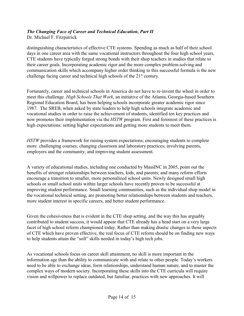Dr. Michael F. Fitzpatrick

distinguishing characteristics of effective CTE systems. Spending as much as half of their school days in one career area with the same vocational instructors throughout the four high school years, CTE students have typically forged strong bonds with their shop teachers in studies that relate to their career goals. Incorporating academic rigor and the more complex problem-solving and communication skills which accompany higher order thinking to this successful formula is the new challenge facing career and technical high schools of the 21<sup>st</sup> century.

Fortunately, career and technical schools in America do not have to re-invent the wheel in order to meet this challenge. *High Schools That Work*, an initiative of the Atlanta, Georgia-based Southern Regional Education Board, has been helping schools incorporate greater academic rigor since 1987. The SREB, when asked by state leaders to help high schools integrate academic and vocational studies in order to raise the achievement of students, identified ten key practices and now promotes their implementation via the *HSTW* program. First and foremost of these practices is high expectations: setting higher expectations and getting more students to meet them.

*HSTW* provides a framework for raising system expectations; encouraging students to complete more challenging courses; changing classroom and laboratory practices; involving parents, employers and the community; and improving student assessment.

A variety of educational studies, including one conducted by MassINC in 2005, point out the benefits of stronger relationships between teachers, kids, and parents; and many reform efforts encourage a transition to smaller, more personalized school units. Newly designed small high schools or small school units within larger schools have recently proven to be successful at improving student performance. Small learning communities, such as the individual shop model in the vocational technical setting, are promoting better relationships between students and teachers, more student interest in specific careers, and better student performance.

Given the cohesiveness that is evident in the CTE shop setting, and the way this has arguably contributed to student success, it would appear that CTE already has a head start on a very large facet of high school reform championed today. Rather than making drastic changes to those aspects of CTE which have proven effective, the real focus of CTE reform should be on finding new ways to help students attain the "soft" skills needed in today's high tech jobs.

As vocational schools focus on career skill attainment, no skill is more important in the information age than the ability to communicate with and relate to other people. Today's workers need to be able to exchange ideas, form relationships, understand human nature, and to master the complex ways of modern society. Incorporating these skills into the CTE curricula will require vision and willpower to replace outdated, but familiar, practices with new approaches. It will